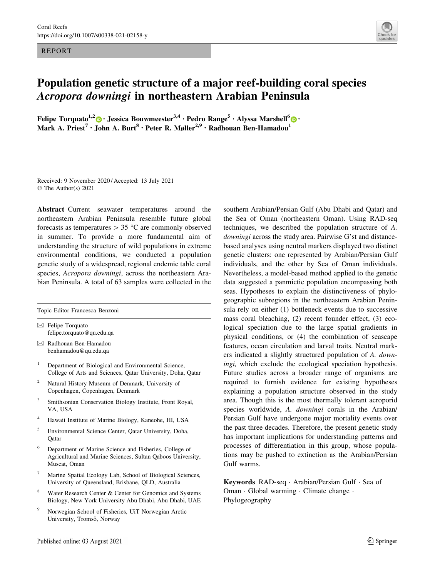REPORT



# Population genetic structure of a major reef-building coral species Acropora downingi in northeastern Arabian Peninsula

Felipe Torquato<sup>1,2</sup> [•](http://orcid.org/0000-0002-1746-7980) Jessica Bouwmeester<sup>3,4</sup> · Pedro Range<sup>5</sup> · Alyssa Marshell<sup>6</sup> • Mark A. Priest<sup>7</sup> · John A. Burt<sup>8</sup> · Peter R. Møller<sup>2,9</sup> · Radhouan Ben-Hamadou<sup>1</sup>

Received: 9 November 2020 / Accepted: 13 July 2021 © The Author(s) 2021

Abstract Current seawater temperatures around the northeastern Arabian Peninsula resemble future global forecasts as temperatures  $> 35$  °C are commonly observed in summer. To provide a more fundamental aim of understanding the structure of wild populations in extreme environmental conditions, we conducted a population genetic study of a widespread, regional endemic table coral species, Acropora downingi, across the northeastern Arabian Peninsula. A total of 63 samples were collected in the

Topic Editor Francesca Benzoni

 $\boxtimes$  Felipe Torquato felipe.torquato@qu.edu.qa

- & Radhouan Ben-Hamadou benhamadou@qu.edu.qa
- <sup>1</sup> Department of Biological and Environmental Science, College of Arts and Sciences, Qatar University, Doha, Qatar
- <sup>2</sup> Natural History Museum of Denmark, University of Copenhagen, Copenhagen, Denmark
- <sup>3</sup> Smithsonian Conservation Biology Institute, Front Royal, VA, USA
- <sup>4</sup> Hawaii Institute of Marine Biology, Kaneohe, HI, USA
- <sup>5</sup> Environmental Science Center, Qatar University, Doha, **O**atar
- <sup>6</sup> Department of Marine Science and Fisheries, College of Agricultural and Marine Sciences, Sultan Qaboos University, Muscat, Oman
- Marine Spatial Ecology Lab, School of Biological Sciences, University of Queensland, Brisbane, QLD, Australia
- Water Research Center & Center for Genomics and Systems Biology, New York University Abu Dhabi, Abu Dhabi, UAE
- <sup>9</sup> Norwegian School of Fisheries, UiT Norwegian Arctic University, Tromsö, Norway

southern Arabian/Persian Gulf (Abu Dhabi and Qatar) and the Sea of Oman (northeastern Oman). Using RAD-seq techniques, we described the population structure of A. downingi across the study area. Pairwise G'st and distancebased analyses using neutral markers displayed two distinct genetic clusters: one represented by Arabian/Persian Gulf individuals, and the other by Sea of Oman individuals. Nevertheless, a model-based method applied to the genetic data suggested a panmictic population encompassing both seas. Hypotheses to explain the distinctiveness of phylogeographic subregions in the northeastern Arabian Peninsula rely on either (1) bottleneck events due to successive mass coral bleaching, (2) recent founder effect, (3) ecological speciation due to the large spatial gradients in physical conditions, or (4) the combination of seascape features, ocean circulation and larval traits. Neutral markers indicated a slightly structured population of A. downingi, which exclude the ecological speciation hypothesis. Future studies across a broader range of organisms are required to furnish evidence for existing hypotheses explaining a population structure observed in the study area. Though this is the most thermally tolerant acroporid species worldwide, A. downingi corals in the Arabian/ Persian Gulf have undergone major mortality events over the past three decades. Therefore, the present genetic study has important implications for understanding patterns and processes of differentiation in this group, whose populations may be pushed to extinction as the Arabian/Persian Gulf warms.

Keywords RAD-seq - Arabian/Persian Gulf - Sea of Oman · Global warming · Climate change · Phylogeography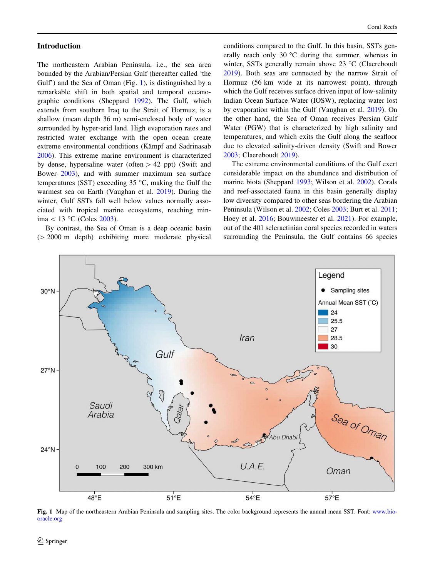#### <span id="page-1-0"></span>Introduction

The northeastern Arabian Peninsula, i.e., the sea area bounded by the Arabian/Persian Gulf (hereafter called 'the Gulf') and the Sea of Oman (Fig. 1), is distinguished by a remarkable shift in both spatial and temporal oceanographic conditions (Sheppard [1992](#page-8-0)). The Gulf, which extends from southern Iraq to the Strait of Hormuz, is a shallow (mean depth 36 m) semi-enclosed body of water surrounded by hyper-arid land. High evaporation rates and restricted water exchange with the open ocean create extreme environmental conditions (Kämpf and Sadrinasab [2006\)](#page-8-0). This extreme marine environment is characterized by dense, hypersaline water (often  $> 42$  ppt) (Swift and Bower [2003](#page-8-0)), and with summer maximum sea surface temperatures (SST) exceeding 35  $\degree$ C, making the Gulf the warmest sea on Earth (Vaughan et al. [2019\)](#page-9-0). During the winter, Gulf SSTs fall well below values normally associated with tropical marine ecosystems, reaching minima  $\lt$  13 °C (Coles [2003](#page-7-0)).

By contrast, the Sea of Oman is a deep oceanic basin  $( > 2000 \text{ m}$  depth) exhibiting more moderate physical conditions compared to the Gulf. In this basin, SSTs generally reach only 30  $\degree$ C during the summer, whereas in winter, SSTs generally remain above  $23 \text{ °C}$  (Claereboudt [2019](#page-7-0)). Both seas are connected by the narrow Strait of Hormuz (56 km wide at its narrowest point), through which the Gulf receives surface driven input of low-salinity Indian Ocean Surface Water (IOSW), replacing water lost by evaporation within the Gulf (Vaughan et al. [2019\)](#page-9-0). On the other hand, the Sea of Oman receives Persian Gulf Water (PGW) that is characterized by high salinity and temperatures, and which exits the Gulf along the seafloor due to elevated salinity-driven density (Swift and Bower [2003](#page-8-0); Claereboudt [2019\)](#page-7-0).

The extreme environmental conditions of the Gulf exert considerable impact on the abundance and distribution of marine biota (Sheppard [1993;](#page-8-0) Wilson et al. [2002\)](#page-9-0). Corals and reef-associated fauna in this basin generally display low diversity compared to other seas bordering the Arabian Peninsula (Wilson et al. [2002;](#page-9-0) Coles [2003](#page-7-0); Burt et al. [2011](#page-7-0); Hoey et al. [2016](#page-8-0); Bouwmeester et al. [2021\)](#page-7-0). For example, out of the 401 scleractinian coral species recorded in waters surrounding the Peninsula, the Gulf contains 66 species



Fig. 1 Map of the northeastern Arabian Peninsula and sampling sites. The color background represents the annual mean SST. Font: [www.bio](http://www.bio-oracle.org)[oracle.org](http://www.bio-oracle.org)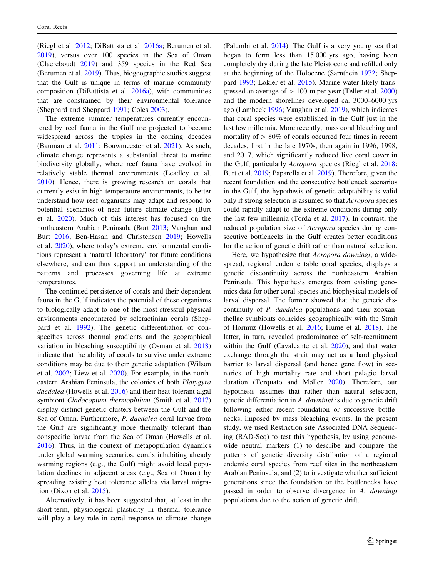(Riegl et al. [2012](#page-8-0); DiBattista et al. [2016a](#page-7-0); Berumen et al. [2019\)](#page-7-0), versus over 100 species in the Sea of Oman (Claereboudt [2019\)](#page-7-0) and 359 species in the Red Sea (Berumen et al. [2019\)](#page-7-0). Thus, biogeographic studies suggest that the Gulf is unique in terms of marine community composition (DiBattista et al. [2016a](#page-7-0)), with communities that are constrained by their environmental tolerance (Sheppard and Sheppard [1991](#page-8-0); Coles [2003](#page-7-0)).

The extreme summer temperatures currently encountered by reef fauna in the Gulf are projected to become widespread across the tropics in the coming decades (Bauman et al. [2011](#page-7-0); Bouwmeester et al. [2021](#page-7-0)). As such, climate change represents a substantial threat to marine biodiversity globally, where reef fauna have evolved in relatively stable thermal environments (Leadley et al. [2010\)](#page-8-0). Hence, there is growing research on corals that currently exist in high-temperature environments, to better understand how reef organisms may adapt and respond to potential scenarios of near future climate change (Burt et al. [2020\)](#page-7-0). Much of this interest has focused on the northeastern Arabian Peninsula (Burt [2013](#page-7-0); Vaughan and Burt [2016;](#page-9-0) Ben-Hasan and Christensen [2019](#page-7-0); Howells et al. [2020](#page-8-0)), where today's extreme environmental conditions represent a 'natural laboratory' for future conditions elsewhere, and can thus support an understanding of the patterns and processes governing life at extreme temperatures.

The continued persistence of corals and their dependent fauna in the Gulf indicates the potential of these organisms to biologically adapt to one of the most stressful physical environments encountered by scleractinian corals (Sheppard et al. [1992](#page-8-0)). The genetic differentiation of conspecifics across thermal gradients and the geographical variation in bleaching susceptibility (Osman et al. [2018\)](#page-8-0) indicate that the ability of corals to survive under extreme conditions may be due to their genetic adaptation (Wilson et al. [2002](#page-9-0); Liew et al. [2020](#page-8-0)). For example, in the northeastern Arabian Peninsula, the colonies of both Platygyra daedalea (Howells et al. [2016](#page-8-0)) and their heat-tolerant algal symbiont Cladocopium thermophilum (Smith et al. [2017\)](#page-8-0) display distinct genetic clusters between the Gulf and the Sea of Oman. Furthermore, P. daedalea coral larvae from the Gulf are significantly more thermally tolerant than conspecific larvae from the Sea of Oman (Howells et al. [2016\)](#page-8-0). Thus, in the context of metapopulation dynamics under global warming scenarios, corals inhabiting already warming regions (e.g., the Gulf) might avoid local population declines in adjacent areas (e.g., Sea of Oman) by spreading existing heat tolerance alleles via larval migration (Dixon et al. [2015](#page-8-0)).

Alternatively, it has been suggested that, at least in the short-term, physiological plasticity in thermal tolerance will play a key role in coral response to climate change (Palumbi et al. [2014\)](#page-8-0). The Gulf is a very young sea that began to form less than 15,000 yrs ago, having been completely dry during the late Pleistocene and refilled only at the beginning of the Holocene (Sarnthein [1972](#page-8-0); Sheppard [1993](#page-8-0); Lokier et al. [2015\)](#page-8-0). Marine water likely transgressed an average of  $> 100$  m per year (Teller et al. [2000\)](#page-9-0) and the modern shorelines developed ca. 3000–6000 yrs ago (Lambeck [1996;](#page-8-0) Vaughan et al. [2019](#page-9-0)), which indicates that coral species were established in the Gulf just in the last few millennia. More recently, mass coral bleaching and mortality of  $> 80\%$  of corals occurred four times in recent decades, first in the late 1970s, then again in 1996, 1998, and 2017, which significantly reduced live coral cover in the Gulf, particularly Acropora species (Riegl et al. [2018](#page-8-0); Burt et al. [2019](#page-7-0); Paparella et al. [2019\)](#page-8-0). Therefore, given the recent foundation and the consecutive bottleneck scenarios in the Gulf, the hypothesis of genetic adaptability is valid only if strong selection is assumed so that Acropora species could rapidly adapt to the extreme conditions during only the last few millennia (Torda et al. [2017](#page-9-0)). In contrast, the reduced population size of Acropora species during consecutive bottlenecks in the Gulf creates better conditions for the action of genetic drift rather than natural selection.

Here, we hypothesize that Acropora downingi, a widespread, regional endemic table coral species, displays a genetic discontinuity across the northeastern Arabian Peninsula. This hypothesis emerges from existing genomics data for other coral species and biophysical models of larval dispersal. The former showed that the genetic discontinuity of P. daedalea populations and their zooxanthellae symbionts coincides geographically with the Strait of Hormuz (Howells et al. [2016;](#page-8-0) Hume et al. [2018](#page-8-0)). The latter, in turn, revealed predominance of self-recruitment within the Gulf (Cavalcante et al. [2020](#page-7-0)), and that water exchange through the strait may act as a hard physical barrier to larval dispersal (and hence gene flow) in scenarios of high mortality rate and short pelagic larval duration (Torquato and Møller [2020](#page-9-0)). Therefore, our hypothesis assumes that rather than natural selection, genetic differentiation in A. downingi is due to genetic drift following either recent foundation or successive bottlenecks, imposed by mass bleaching events. In the present study, we used Restriction site Associated DNA Sequencing (RAD-Seq) to test this hypothesis, by using genomewide neutral markers (1) to describe and compare the patterns of genetic diversity distribution of a regional endemic coral species from reef sites in the northeastern Arabian Peninsula, and (2) to investigate whether sufficient generations since the foundation or the bottlenecks have passed in order to observe divergence in A. downingi populations due to the action of genetic drift.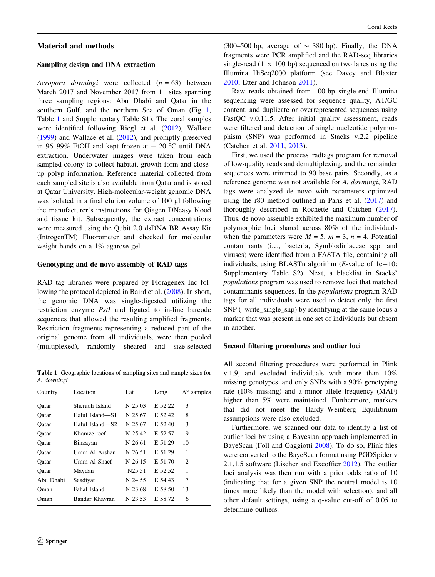# Material and methods

#### Sampling design and DNA extraction

Acropora downingi were collected  $(n = 63)$  between March 2017 and November 2017 from 11 sites spanning three sampling regions: Abu Dhabi and Qatar in the southern Gulf, and the northern Sea of Oman (Fig. [1,](#page-1-0) Table 1 and Supplementary Table S1). The coral samples were identified following Riegl et al. ([2012](#page-8-0)), Wallace [\(1999](#page-9-0)) and Wallace et al. ([2012\)](#page-9-0), and promptly preserved in 96–99% EtOH and kept frozen at  $-$  20 °C until DNA extraction. Underwater images were taken from each sampled colony to collect habitat, growth form and closeup polyp information. Reference material collected from each sampled site is also available from Qatar and is stored at Qatar University. High-molecular-weight genomic DNA was isolated in a final elution volume of 100 µl following the manufacturer's instructions for Qiagen DNeasy blood and tissue kit. Subsequently, the extract concentrations were measured using the Qubit 2.0 dsDNA BR Assay Kit (IntrogenTM) Fluorometer and checked for molecular weight bands on a 1% agarose gel.

#### Genotyping and de novo assembly of RAD tags

RAD tag libraries were prepared by Floragenex Inc following the protocol depicted in Baird et al. ([2008\)](#page-7-0). In short, the genomic DNA was single-digested utilizing the restriction enzyme PstI and ligated to in-line barcode sequences that allowed the resulting amplified fragments. Restriction fragments representing a reduced part of the original genome from all individuals, were then pooled (multiplexed), randomly sheared and size-selected

Table 1 Geographic locations of sampling sites and sample sizes for A. downingi

| Country   | Location        | Lat     | Long    | $N^{\circ}$ samples |
|-----------|-----------------|---------|---------|---------------------|
| Oatar     | Sheraoh Island  | N 25.03 | E 52.22 | 3                   |
| Oatar     | Halul Island—S1 | N 25.67 | E 52.42 | 8                   |
| Oatar     | Halul Island—S2 | N 25.67 | E 52.40 | 3                   |
| Oatar     | Kharaze reef    | N 25.42 | E 52.57 | 9                   |
| Oatar     | Binzayan        | N 26.61 | E 51.29 | 10                  |
| Oatar     | Umm Al Arshan   | N 26.51 | E 51.29 | 1                   |
| Oatar     | Umm Al Shaef    | N 26.15 | E 51.70 | 2                   |
| Oatar     | Maydan          | N25.51  | E 52.52 | 1                   |
| Abu Dhabi | Saadiyat        | N 24.55 | E 54.43 | 7                   |
| Oman      | Fahal Island    | N 23.68 | E 58.50 | 13                  |
| Oman)     | Bandar Khayran  | N 23.53 | E 58.72 | 6                   |

(300–500 bp, average of  $\sim$  380 bp). Finally, the DNA fragments were PCR amplified and the RAD-seq libraries single-read (1  $\times$  100 bp) sequenced on two lanes using the Illumina HiSeq2000 platform (see Davey and Blaxter [2010](#page-7-0); Etter and Johnson [2011\)](#page-8-0).

Raw reads obtained from 100 bp single-end Illumina sequencing were assessed for sequence quality, AT/GC content, and duplicate or overrepresented sequences using FastQC v.0.11.5. After initial quality assessment, reads were filtered and detection of single nucleotide polymorphism (SNP) was performed in Stacks v.2.2 pipeline (Catchen et al. [2011](#page-7-0), [2013](#page-7-0)).

First, we used the process\_radtags program for removal of low-quality reads and demultiplexing, and the remainder sequences were trimmed to 90 base pairs. Secondly, as a reference genome was not available for A. downingi, RAD tags were analyzed de novo with parameters optimized using the r80 method outlined in Paris et al. [\(2017](#page-8-0)) and thoroughly described in Rochette and Catchen [\(2017](#page-8-0)). Thus, de novo assemble exhibited the maximum number of polymorphic loci shared across 80% of the individuals when the parameters were  $M = 5$ ,  $m = 3$ ,  $n = 4$ . Potential contaminants (i.e., bacteria, Symbiodiniaceae spp. and viruses) were identified from a FASTA file, containing all individuals, using BLASTn algorithm  $(E$ -value of 1e-10; Supplementary Table S2). Next, a blacklist in Stacks' populations program was used to remove loci that matched contaminants sequences. In the populations program RAD tags for all individuals were used to detect only the first SNP (–write\_single\_snp) by identifying at the same locus a marker that was present in one set of individuals but absent in another.

#### Second filtering procedures and outlier loci

All second filtering procedures were performed in Plink v.1.9, and excluded individuals with more than 10% missing genotypes, and only SNPs with a 90% genotyping rate (10% missing) and a minor allele frequency (MAF) higher than 5% were maintained. Furthermore, markers that did not meet the Hardy–Weinberg Equilibrium assumptions were also excluded.

Furthermore, we scanned our data to identify a list of outlier loci by using a Bayesian approach implemented in BayeScan (Foll and Gaggiotti [2008](#page-8-0)). To do so, Plink files were converted to the BayeScan format using PGDSpider v 2.1.1.5 software (Lischer and Excoffier [2012\)](#page-8-0). The outlier loci analysis was then run with a prior odds ratio of 10 (indicating that for a given SNP the neutral model is 10 times more likely than the model with selection), and all other default settings, using a q-value cut-off of 0.05 to determine outliers.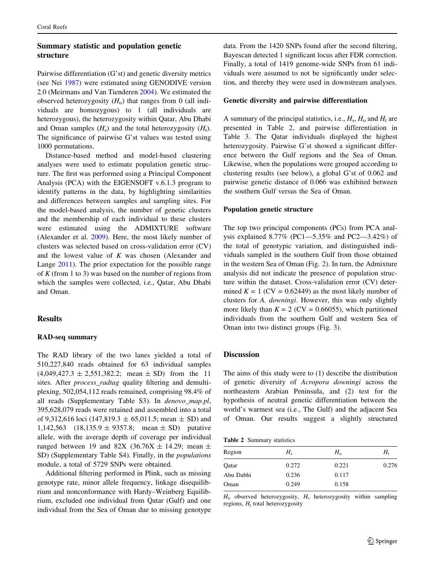# Summary statistic and population genetic structure

Pairwise differentiation (G'st) and genetic diversity metrics (see Nei [1987](#page-8-0)) were estimated using GENODIVE version 2.0 (Meirmans and Van Tienderen [2004](#page-8-0)). We estimated the observed heterozygosity  $(H_0)$  that ranges from 0 (all individuals are homozygous) to 1 (all individuals are heterozygous), the heterozygosity within Qatar, Abu Dhabi and Oman samples  $(H_s)$  and the total heterozygosity  $(H_t)$ . The significance of pairwise G'st values was tested using 1000 permutations.

Distance-based method and model-based clustering analyses were used to estimate population genetic structure. The first was performed using a Principal Component Analysis (PCA) with the EIGENSOFT v.6.1.3 program to identify patterns in the data, by highlighting similarities and differences between samples and sampling sites. For the model-based analysis, the number of genetic clusters and the membership of each individual to these clusters were estimated using the ADMIXTURE software (Alexander et al. [2009\)](#page-7-0). Here, the most likely number of clusters was selected based on cross-validation error (CV) and the lowest value of  $K$  was chosen (Alexander and Lange [2011](#page-7-0)). The prior expectation for the possible range of  $K$  (from 1 to 3) was based on the number of regions from which the samples were collected, i.e., Qatar, Abu Dhabi and Oman.

# Results

## RAD-seq summary

The RAD library of the two lanes yielded a total of 510,227,840 reads obtained for 63 individual samples  $(4,049,427.3 \pm 2,551,382.2; \text{mean } \pm \text{ SD})$  from the 11 sites. After *process radtag* quality filtering and demultiplexing, 502,054,112 reads remained, comprising 98.4% of all reads (Supplementary Table S3). In denovo\_map.pl, 395,628,079 reads were retained and assembled into a total of 9,312,616 loci (147,819.3  $\pm$  65,011.5; mean  $\pm$  SD) and 1,142,563  $(18,135.9 \pm 9357.8; \text{mean } \pm \text{ SD})$  putative allele, with the average depth of coverage per individual ranged between 19 and 82X (36.76X  $\pm$  14.29; mean  $\pm$ SD) (Supplementary Table S4). Finally, in the *populations* module, a total of 5729 SNPs were obtained.

Additional filtering performed in Plink, such as missing genotype rate, minor allele frequency, linkage disequilibrium and nonconformance with Hardy–Weinberg Equilibrium, excluded one individual from Qatar (Gulf) and one individual from the Sea of Oman due to missing genotype

data. From the 1420 SNPs found after the second filtering, Bayescan detected 1 significant locus after FDR correction. Finally, a total of 1419 genome-wide SNPs from 61 individuals were assumed to not be significantly under selection, and thereby they were used in downstream analyses.

## Genetic diversity and pairwise differentiation

A summary of the principal statistics, i.e.,  $H_s$ ,  $H_o$  and  $H_t$  are presented in Table 2, and pairwise differentiation in Table [3.](#page-5-0) The Qatar individuals displayed the highest heterozygosity. Pairwise G'st showed a significant difference between the Gulf regions and the Sea of Oman. Likewise, when the populations were grouped according to clustering results (see below), a global G'st of 0.062 and pairwise genetic distance of 0.066 was exhibited between the southern Gulf versus the Sea of Oman.

## Population genetic structure

The top two principal components (PCs) from PCA analysis explained 8.77% (PC1—5.35% and PC2—3.42%) of the total of genotypic variation, and distinguished individuals sampled in the southern Gulf from those obtained in the western Sea of Oman (Fig. [2](#page-5-0)). In turn, the Admixture analysis did not indicate the presence of population structure within the dataset. Cross-validation error (CV) determined  $K = 1$  (CV = 0.62449) as the most likely number of clusters for A. downingi. However, this was only slightly more likely than  $K = 2$  (CV = 0.66055), which partitioned individuals from the southern Gulf and western Sea of Oman into two distinct groups (Fig. [3\)](#page-5-0).

## Discussion

The aims of this study were to (1) describe the distribution of genetic diversity of Acropora downingi across the northeastern Arabian Peninsula, and (2) test for the hypothesis of neutral genetic differentiation between the world's warmest sea (i.e., The Gulf) and the adjacent Sea of Oman. Our results suggest a slightly structured

Table 2 Summary statistics

| $H_{s}$ | $H_{\rm o}$ | H,    |
|---------|-------------|-------|
| 0.272   | 0.221       | 0.276 |
| 0.236   | 0.117       |       |
| 0.249   | 0.158       |       |
|         |             |       |

 $H_0$  observed heterozygosity,  $H_s$  heterozygosity within sampling regions,  $H_t$  total heterozygosity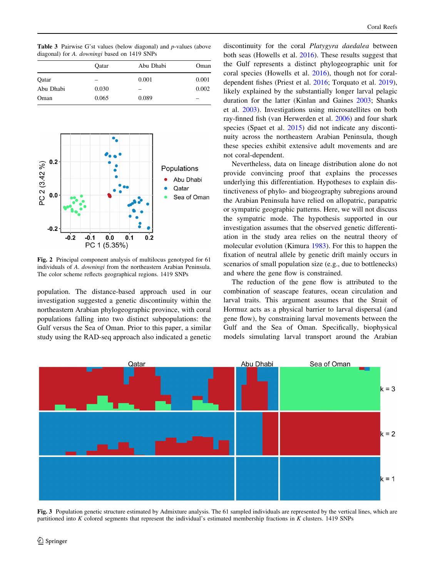<span id="page-5-0"></span>Table 3 Pairwise G'st values (below diagonal) and p-values (above diagonal) for A. downingi based on 1419 SNPs

|           | Oatar | Abu Dhabi | Oman                     |
|-----------|-------|-----------|--------------------------|
| Oatar     | -     | 0.001     | 0.001                    |
| Abu Dhabi | 0.030 | -         | 0.002                    |
| Oman      | 0.065 | 0.089     | $\overline{\phantom{a}}$ |



Fig. 2 Principal component analysis of multilocus genotyped for 61 individuals of A. downingi from the northeastern Arabian Peninsula. The color scheme reflects geographical regions. 1419 SNPs

population. The distance-based approach used in our investigation suggested a genetic discontinuity within the northeastern Arabian phylogeographic province, with coral populations falling into two distinct subpopulations: the Gulf versus the Sea of Oman. Prior to this paper, a similar study using the RAD-seq approach also indicated a genetic discontinuity for the coral Platygyra daedalea between both seas (Howells et al. [2016](#page-8-0)). These results suggest that the Gulf represents a distinct phylogeographic unit for coral species (Howells et al. [2016\)](#page-8-0), though not for coraldependent fishes (Priest et al. [2016](#page-8-0); Torquato et al. [2019](#page-9-0)), likely explained by the substantially longer larval pelagic duration for the latter (Kinlan and Gaines [2003](#page-8-0); Shanks et al. [2003](#page-8-0)). Investigations using microsatellites on both ray-finned fish (van Herwerden et al. [2006](#page-9-0)) and four shark species (Spaet et al. [2015\)](#page-8-0) did not indicate any discontinuity across the northeastern Arabian Peninsula, though these species exhibit extensive adult movements and are not coral-dependent.

Nevertheless, data on lineage distribution alone do not provide convincing proof that explains the processes underlying this differentiation. Hypotheses to explain distinctiveness of phylo- and biogeography subregions around the Arabian Peninsula have relied on allopatric, parapatric or sympatric geographic patterns. Here, we will not discuss the sympatric mode. The hypothesis supported in our investigation assumes that the observed genetic differentiation in the study area relies on the neutral theory of molecular evolution (Kimura [1983\)](#page-8-0). For this to happen the fixation of neutral allele by genetic drift mainly occurs in scenarios of small population size (e.g., due to bottlenecks) and where the gene flow is constrained.

The reduction of the gene flow is attributed to the combination of seascape features, ocean circulation and larval traits. This argument assumes that the Strait of Hormuz acts as a physical barrier to larval dispersal (and gene flow), by constraining larval movements between the Gulf and the Sea of Oman. Specifically, biophysical models simulating larval transport around the Arabian



Fig. 3 Population genetic structure estimated by Admixture analysis. The 61 sampled individuals are represented by the vertical lines, which are partitioned into K colored segments that represent the individual's estimated membership fractions in K clusters. 1419 SNPs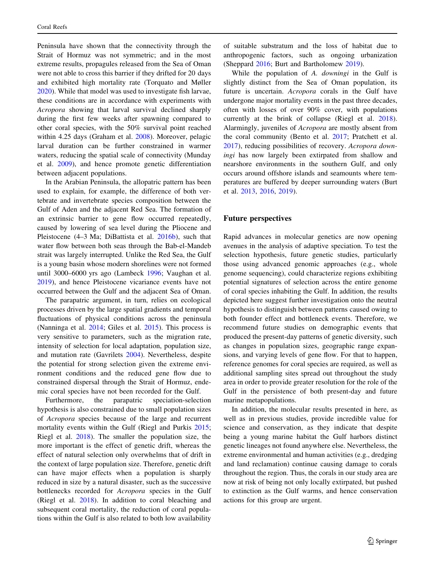Peninsula have shown that the connectivity through the Strait of Hormuz was not symmetric; and in the most extreme results, propagules released from the Sea of Oman were not able to cross this barrier if they drifted for 20 days and exhibited high mortality rate (Torquato and Møller [2020\)](#page-9-0). While that model was used to investigate fish larvae, these conditions are in accordance with experiments with Acropora showing that larval survival declined sharply during the first few weeks after spawning compared to other coral species, with the 50% survival point reached within 4.25 days (Graham et al. [2008\)](#page-8-0). Moreover, pelagic larval duration can be further constrained in warmer waters, reducing the spatial scale of connectivity (Munday et al. [2009\)](#page-8-0), and hence promote genetic differentiation between adjacent populations.

In the Arabian Peninsula, the allopatric pattern has been used to explain, for example, the difference of both vertebrate and invertebrate species composition between the Gulf of Aden and the adjacent Red Sea. The formation of an extrinsic barrier to gene flow occurred repeatedly, caused by lowering of sea level during the Pliocene and Pleistocene (4–3 Ma; DiBattista et al. [2016b\)](#page-7-0), such that water flow between both seas through the Bab-el-Mandeb strait was largely interrupted. Unlike the Red Sea, the Gulf is a young basin whose modern shorelines were not formed until 3000–6000 yrs ago (Lambeck [1996](#page-8-0); Vaughan et al. [2019\)](#page-9-0), and hence Pleistocene vicariance events have not occurred between the Gulf and the adjacent Sea of Oman.

The parapatric argument, in turn, relies on ecological processes driven by the large spatial gradients and temporal fluctuations of physical conditions across the peninsula (Nanninga et al. [2014;](#page-8-0) Giles et al. [2015\)](#page-8-0). This process is very sensitive to parameters, such as the migration rate, intensity of selection for local adaptation, population size, and mutation rate (Gavrilets [2004\)](#page-8-0). Nevertheless, despite the potential for strong selection given the extreme environment conditions and the reduced gene flow due to constrained dispersal through the Strait of Hormuz, endemic coral species have not been recorded for the Gulf.

Furthermore, the parapatric speciation-selection hypothesis is also constrained due to small population sizes of Acropora species because of the large and recurrent mortality events within the Gulf (Riegl and Purkis [2015](#page-8-0); Riegl et al. [2018](#page-8-0)). The smaller the population size, the more important is the effect of genetic drift, whereas the effect of natural selection only overwhelms that of drift in the context of large population size. Therefore, genetic drift can have major effects when a population is sharply reduced in size by a natural disaster, such as the successive bottlenecks recorded for Acropora species in the Gulf (Riegl et al. [2018](#page-8-0)). In addition to coral bleaching and subsequent coral mortality, the reduction of coral populations within the Gulf is also related to both low availability of suitable substratum and the loss of habitat due to anthropogenic factors, such as ongoing urbanization (Sheppard [2016](#page-8-0); Burt and Bartholomew [2019](#page-7-0)).

While the population of A. *downingi* in the Gulf is slightly distinct from the Sea of Oman population, its future is uncertain. Acropora corals in the Gulf have undergone major mortality events in the past three decades, often with losses of over 90% cover, with populations currently at the brink of collapse (Riegl et al. [2018](#page-8-0)). Alarmingly, juveniles of Acropora are mostly absent from the coral community (Bento et al. [2017](#page-7-0); Pratchett et al. [2017](#page-8-0)), reducing possibilities of recovery. Acropora downingi has now largely been extirpated from shallow and nearshore environments in the southern Gulf, and only occurs around offshore islands and seamounts where temperatures are buffered by deeper surrounding waters (Burt et al. [2013,](#page-7-0) [2016,](#page-7-0) [2019](#page-7-0)).

#### Future perspectives

Rapid advances in molecular genetics are now opening avenues in the analysis of adaptive speciation. To test the selection hypothesis, future genetic studies, particularly those using advanced genomic approaches (e.g., whole genome sequencing), could characterize regions exhibiting potential signatures of selection across the entire genome of coral species inhabiting the Gulf. In addition, the results depicted here suggest further investigation onto the neutral hypothesis to distinguish between patterns caused owing to both founder effect and bottleneck events. Therefore, we recommend future studies on demographic events that produced the present-day patterns of genetic diversity, such as changes in population sizes, geographic range expansions, and varying levels of gene flow. For that to happen, reference genomes for coral species are required, as well as additional sampling sites spread out throughout the study area in order to provide greater resolution for the role of the Gulf in the persistence of both present-day and future marine metapopulations.

In addition, the molecular results presented in here, as well as in previous studies, provide incredible value for science and conservation, as they indicate that despite being a young marine habitat the Gulf harbors distinct genetic lineages not found anywhere else. Nevertheless, the extreme environmental and human activities (e.g., dredging and land reclamation) continue causing damage to corals throughout the region. Thus, the corals in our study area are now at risk of being not only locally extirpated, but pushed to extinction as the Gulf warms, and hence conservation actions for this group are urgent.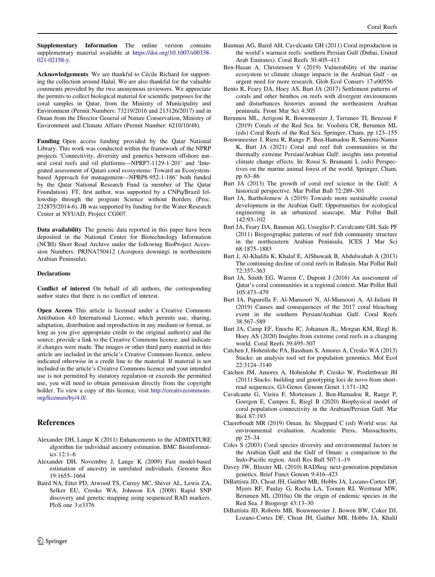<span id="page-7-0"></span>Supplementary Information The online version contains supplementary material available at [https://doi.org/10.1007/s00338-](https://doi.org/10.1007/s00338-021-02158-y) [021-02158-y.](https://doi.org/10.1007/s00338-021-02158-y)

Acknowledgements We are thankful to Cécile Richard for supporting the collection around Halul. We are also thankful for the valuable comments provided by the two anonymous reviewers. We appreciate the permits to collect biological material for scientific purposes for the coral samples in Qatar, from the Ministry of Municipality and Environment (Permit Numbers: 73219/2016 and 213126/2017) and in Oman from the Director General of Nature Conservation, Ministry of Environment and Climate Affairs (Permit Number: 6210/10/48).

Funding Open access funding provided by the Qatar National Library. This work was conducted within the framework of the NPRP projects 'Connectivity, diversity and genetics between offshore natural coral reefs and oil platforms—NPRP7-1129-1-201' and 'Integrated assessment of Qatari coral ecosystems: Toward an Ecosystembased Approach for management—NPRP8-952-1-186' both funded by the Qatar National Research Fund (a member of The Qatar Foundation). FT, first author, was supported by a CNPq/Brazil fellowship through the program Science without Borders (Proc. 232875/2014-6). JB was supported by funding for the Water Research Center at NYUAD, Project CG007.

Data availability The genetic data reported in this paper have been deposited in the National Center for Biotechnology Information (NCBI) Short Read Archive under the following BioProject Accession Numbers: PRJNA750412 (Acropora downingi in northeastern Arabian Peninsula).

#### **Declarations**

Conflict of interest On behalf of all authors, the corresponding author states that there is no conflict of interest.

Open Access This article is licensed under a Creative Commons Attribution 4.0 International License, which permits use, sharing, adaptation, distribution and reproduction in any medium or format, as long as you give appropriate credit to the original author(s) and the source, provide a link to the Creative Commons licence, and indicate if changes were made. The images or other third party material in this article are included in the article's Creative Commons licence, unless indicated otherwise in a credit line to the material. If material is not included in the article's Creative Commons licence and your intended use is not permitted by statutory regulation or exceeds the permitted use, you will need to obtain permission directly from the copyright holder. To view a copy of this licence, visit [http://creativecommons.](http://creativecommons.org/licenses/by/4.0/) [org/licenses/by/4.0/.](http://creativecommons.org/licenses/by/4.0/)

## References

- Alexander DH, Lange K (2011) Enhancements to the ADMIXTURE algorithm for individual ancestry estimation. BMC Bioinformatics 12:1–6
- Alexander DH, Novembre J, Lange K (2009) Fast model-based estimation of ancestry in unrelated individuals. Genome Res 19:1655–1664
- Baird NA, Etter PD, Atwood TS, Currey MC, Shiver AL, Lewis ZA, Selker EU, Cresko WA, Johnson EA (2008) Rapid SNP discovery and genetic mapping using sequenced RAD markers. PloS one 3:e3376
- Bauman AG, Baird AH, Cavalcante GH (2011) Coral reproduction in the world's warmest reefs: southern Persian Gulf (Dubai, United Arab Emirates). Coral Reefs 30:405–413
- Ben-Hasan A, Christensen V (2019) Vulnerability of the marine ecosystem to climate change impacts in the Arabian Gulf - an urgent need for more research. Glob Ecol Conserv 17:e00556
- Bento R, Feary DA, Hoey AS, Burt JA (2017) Settlement patterns of corals and other benthos on reefs with divergent environments and disturbances histories around the northeastern Arabian peninsula. Front Mar Sci 4:305
- Berumen ML, Arrigoni R, Bouwmeester J, Terraneo TI, Benzoni F (2019) Corals of the Red Sea. In: Voolstra CR, Berumen ML (eds) Coral Reefs of the Red Sea. Springer, Cham, pp 123–155
- Bouwmeester J, Riera R, Range P, Ben-Hamadou R, Samimi-Namin K, Burt JA (2021) Coral and reef fish communities in the thermally extreme Persian/Arabian Gulf: insights into potential climate change effects. In: Rossi S, Bramanti L (eds) Perspectives on the marine animal forest of the world. Springer, Cham, pp 63–86
- Burt JA (2013) The growth of coral reef science in the Gulf: A historical perspective. Mar Pollut Bull 72:289–301
- Burt JA, Bartholomew A (2019) Towards more sustainable coastal development in the Arabian Gulf: Opportunities for ecological engineering in an urbanized seascape. Mar Pollut Bull 142:93–102
- Burt JA, Feary DA, Bauman AG, Usseglio P, Cavalcante GH, Sale PF (2011) Biogeographic patterns of reef fish community structure in the northeastern Arabian Peninsula. ICES J Mar Sci 68:1875–1883
- Burt J, Al-Khalifa K, Khalaf E, AlShuwaik B, Abdulwahab A (2013) The continuing decline of coral reefs in Bahrain. Mar Pollut Bull 72:357–363
- Burt JA, Smith EG, Warren C, Dupont J (2016) An assessment of Qatar's coral communities in a regional context. Mar Pollut Bull 105:473–479
- Burt JA, Paparella F, Al-Mansoori N, Al-Mansoori A, Al-Jailani H (2019) Causes and consequences of the 2017 coral bleaching event in the southern Persian/Arabian Gulf. Coral Reefs 38:567–589
- Burt JA, Camp EF, Enochs IC, Johansen JL, Morgan KM, Riegl B, Hoey AS (2020) Insights from extreme coral reefs in a changing world. Coral Reefs 39:495–507
- Catchen J, Hohenlohe PA, Bassham S, Amores A, Cresko WA (2013) Stacks: an analysis tool set for population genomics. Mol Ecol 22:3124–3140
- Catchen JM, Amores A, Hohenlohe P, Cresko W, Postlethwait JH (2011) Stacks: building and genotyping loci de novo from shortread sequences. G3-Genes Genom Genet 1:171–182
- Cavalcante G, Vieira F, Mortensen J, Ben-Hamadou R, Range P, Goergen E, Campos E, Riegl B (2020) Biophysical model of coral population connectivity in the Arabian/Persian Gulf. Mar Biol 87:193
- Claereboudt MR (2019) Oman. In: Sheppard C (ed) World seas: An environmental evaluation. Academic Press, Massachuetts, pp 25–34
- Coles S (2003) Coral species diversity and environmental factors in the Arabian Gulf and the Gulf of Oman: a comparison to the Indo-Pacific region. Atoll Res Bull 507:1–19
- Davey JW, Blaxter ML (2010) RADSeq: next-generation population genetics. Brief Funct Genom 9:416–423
- DiBattista JD, Choat JH, Gaither MR, Hobbs JA, Lozano-Cortes DF, Myers RF, Paulay G, Rocha LA, Toonen RJ, Westneat MW, Berumen ML (2016a) On the origin of endemic species in the Red Sea. J Biogeogr 43:13–30
- DiBattista JD, Roberts MB, Bouwmeester J, Bowen BW, Coker DJ, Lozano-Cortes DF, Choat JH, Gaither MR, Hobbs JA, Khalil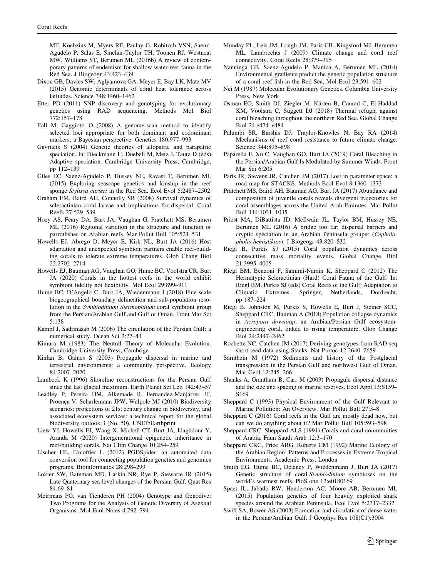<span id="page-8-0"></span>MT, Kochzius M, Myers RF, Paulay G, Robitzch VSN, Saenz-Agudelo P, Salas E, Sinclair-Taylor TH, Toonen RJ, Westneat MW, Williams ST, Berumen ML (2016b) A review of contemporary patterns of endemism for shallow water reef fauna in the Red Sea. J Biogeogr 43:423–439

- Dixon GB, Davies SW, Aglyamova GA, Meyer E, Bay LK, Matz MV (2015) Genomic determinants of coral heat tolerance across latitudes. Science 348:1460–1462
- Etter PD (2011) SNP discovery and genotyping for evolutionary genetics using RAD sequencing. Methods Mol Biol 772:157–178
- Foll M, Gaggiotti O (2008) A genome-scan method to identify selected loci appropriate for both dominant and codominant markers: a Bayesian perspective. Genetics 180:977–993
- Gavrilets S (2004) Genetic theories of allopatric and parapatric speciation. In: Dieckmann U, Doebeli M, Metz J, Tautz D (eds) Adaptive speciation. Cambridge University Press, Cambridge, pp 112–139
- Giles EC, Saenz-Agudelo P, Hussey NE, Ravasi T, Berumen ML (2015) Exploring seascape genetics and kinship in the reef sponge Stylissa carteri in the Red Sea. Ecol Evol 5:2487–2502
- Graham EM, Baird AH, Connolly SR (2008) Survival dynamics of scleractinian coral larvae and implications for dispersal. Coral Reefs 27:529–539
- Hoey AS, Feary DA, Burt JA, Vaughan G, Pratchett MS, Berumen ML (2016) Regional variation in the structure and function of parrotfishes on Arabian reefs. Mar Pollut Bull 105:524–531
- Howells EJ, Abrego D, Meyer E, Kirk NL, Burt JA (2016) Host adaptation and unexpected symbiont partners enable reef-building corals to tolerate extreme temperatures. Glob Chang Biol 22:2702–2714
- Howells EJ, Bauman AG, Vaughan GO, Hume BC, Voolstra CR, Burt JA (2020) Corals in the hottest reefs in the world exhibit symbiont fidelity not flexibility. Mol Ecol 29:899–911
- Hume BC, D'Angelo C, Burt JA, Wiedenmann J (2018) Fine-scale biogeographical boundary delineation and sub-population resolution in the Symbiodinium thermophilum coral symbiont group from the Persian/Arabian Gulf and Gulf of Oman. Front Mar Sci 5:138
- Kampf J, Sadrinasab M (2006) The circulation of the Persian Gulf: a numerical study. Ocean Sci 2:27–41
- Kimura M (1983) The Neutral Theory of Molecular Evolution. Cambridge University Press, Cambrige
- Kinlan B, Gaines S (2003) Propagule dispersal in marine and terrestrial environments: a community perspective. Ecology 84:2007–2020
- Lambeck K (1996) Shoreline reconstructions for the Persian Gulf since the last glacial maximum. Earth Planet Sci Lett 142:43–57
- Leadley P, Pereira HM, Alkemade R, Fernandez-Manjarres JF, Proença V, Scharlemann JPW, Walpole MJ (2010) Biodiversity scenarios: projections of 21st century change in biodiversity, and associated ecosystem services: a technical report for the global biodiversity outlook 3 (No. 50). UNEP/Earthprint
- Liew YJ, Howells EJ, Wang X, Michell CT, Burt JA, Idaghdour Y, Aranda M (2020) Intergenerational epigenetic inheritance in reef-building corals. Nat Clim Change 10:254–259
- Lischer HE, Excoffier L (2012) PGDSpider: an automated data conversion tool for connecting population genetics and genomics programs. Bioinformatics 28:298–299
- Lokier SW, Bateman MD, Larkin NR, Rye P, Stewarte JR (2015) Late Quaternary sea-level changes of the Persian Gulf. Quat Res 84:69–81
- Meirmans PG, van Tienderen PH (2004) Genotype and Genodive: Two Programs for the Analysis of Genetic Diversity of Asexual Organisms. Mol Ecol Notes 4:792–794
- Munday PL, Leis JM, Lough JM, Paris CB, Kingsford MJ, Berumen ML, Lambrechts J (2009) Climate change and coral reef connectivity. Coral Reefs 28:379–395
- Nanninga GB, Saenz-Agudelo P, Manica A, Berumen ML (2014) Environmental gradients predict the genetic population structure of a coral reef fish in the Red Sea. Mol Ecol 23:591–602
- Nei M (1987) Molecular Evolutionary Genetics. Columbia University Press, New York
- Osman EO, Smith DJ, Ziegler M, Kürten B, Conrad C, El-Haddad KM, Voolstra C, Suggett DJ (2018) Thermal refugia against coral bleaching throughout the northern Red Sea. Global Change Biol 24:e474–e484
- Palumbi SR, Barshis DJ, Traylor-Knowles N, Bay RA (2014) Mechanisms of reef coral resistance to future climate change. Science 344:895–898
- Paparella F, Xu C, Vaughan GO, Burt JA (2019) Coral Bleaching in the Persian/Arabian Gulf Is Modulated by Summer Winds. Front Mar Sci 6:205
- Paris JR, Stevens JR, Catchen JM (2017) Lost in parameter space: a road map for STACKS. Methods Ecol Evol 8:1360–1373
- Pratchett MS, Baird AH, Bauman AG, Burt JA (2017) Abundance and composition of juvenile corals reveals divergent trajectories for coral assemblages across the United Arab Emirates. Mar Pollut Bull 114:1031–1035
- Priest MA, DiBattista JD, McIlwain JL, Taylor BM, Hussey NE, Berumen ML (2016) A bridge too far: dispersal barriers and cryptic speciation in an Arabian Peninsula grouper (Cephalopholis hemistiktos). J Biogeogr 43:820–832
- Riegl B, Purkis SJ (2015) Coral population dynamics across consecutive mass mortality events. Global Change Biol 21:3995–4005
- Riegl BM, Benzoni F, Samimi-Namin K, Sheppard C (2012) The Hermatypic Scleractinian (Hard) Coral Fauna of the Gulf. In: Riegl BM, Purkis SJ (eds) Coral Reefs of the Gulf: Adaptation to Climatic Extremes. Springer, Netherlands, Dordrecht, pp 187–224
- Riegl B, Johnston M, Purkis S, Howells E, Burt J, Steiner SCC, Sheppard CRC, Bauman A (2018) Population collapse dynamics in Acropora downingi, an Arabian/Persian Gulf ecosystemengineering coral, linked to rising temperature. Glob Change Biol 24:2447–2462
- Rochette NC, Catchen JM (2017) Deriving genotypes from RAD-seq short-read data using Stacks. Nat Protoc 12:2640–2659
- Sarnthein M (1972) Sediments and history of the Postglacial transgression in the Persian Gulf and northwest Gulf of Oman. Mar Geol 12:245–266
- Shanks A, Grantham B, Carr M (2003) Propagule dispersal distance and the size and spacing of marine reserves. Ecol Appl 13:S159– S169
- Sheppard C (1993) Physical Environment of the Gulf Relevant to Marine Pollution: An Overview. Mar Pollut Bull 27:3–8
- Sheppard C (2016) Coral reefs in the Gulf are mostly dead now, but can we do anything about it? Mar Pollut Bull 105:593–598
- Sheppard CRC, Sheppard ALS (1991) Corals and coral communities of Arabia. Faun Saudi Arab 12:3–170
- Sheppard CRC, Price ARG, Roberts CM (1992) Marine Ecology of the Arabian Region: Patterns and Processes in Extreme Tropical Environments. Academic Press, London
- Smith EG, Hume BC, Delaney P, Wiedenmann J, Burt JA (2017) Genetic structure of coral-Symbiodinium symbioses on the world's warmest reefs. PloS one 12:e0180169
- Spaet JL, Jabado RW, Henderson AC, Moore AB, Berumen ML (2015) Population genetics of four heavily exploited shark species around the Arabian Peninsula. Ecol Evol 5:2317–2332
- Swift SA, Bower AS (2003) Formation and circulation of dense water in the Persian/Arabian Gulf. J Geophys Res 108(C1):3004